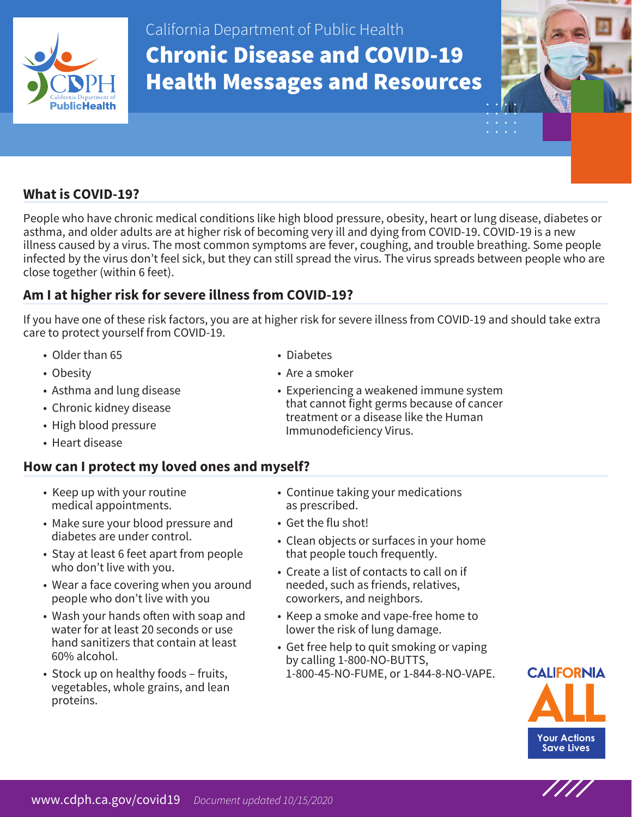

California Department of Public Health Chronic Disease and COVID-19 Health Messages and Resources



# **What is COVID-19?**

People who have chronic medical conditions like high blood pressure, obesity, heart or lung disease, diabetes or asthma, and older adults are at higher risk of becoming very ill and dying from COVID-19. COVID-19 is a new illness caused by a virus. The most common symptoms are fever, coughing, and trouble breathing. Some people infected by the virus don't feel sick, but they can still spread the virus. The virus spreads between people who are close together (within 6 feet).

# **Am I at higher risk for severe illness from COVID-19?**

If you have one of these risk factors, you are at higher risk for severe illness from COVID-19 and should take extra care to protect yourself from COVID-19.

- Older than 65
- Obesity
- Asthma and lung disease
- Chronic kidney disease
- High blood pressure
- Heart disease

### **How can I protect my loved ones and myself?**

- • Keep up with your routine medical appointments.
- Make sure your blood pressure and diabetes are under control.
- Stay at least 6 feet apart from people who don't live with you.
- Wear a face covering when you around people who don't live with you
- Wash your hands often with soap and water for at least 20 seconds or use hand sanitizers that contain at least 60% alcohol.
- Stock up on healthy foods fruits, vegetables, whole grains, and lean proteins.
- Diabetes
- Are a smoker
- Experiencing a weakened immune system that cannot fight germs because of cancer treatment or a disease like the Human Immunodeficiency Virus.
- Continue taking your medications as prescribed.
- Get the flu shot!
- Clean objects or surfaces in your home that people touch frequently.
- Create a list of contacts to call on if needed, such as friends, relatives, coworkers, and neighbors.
- Keep a smoke and vape-free home to lower the risk of lung damage.
- Get free help to quit smoking or vaping by calling 1-800-NO-BUTTS, 1-800-45-NO-FUME, or 1-844-8-NO-VAPE.